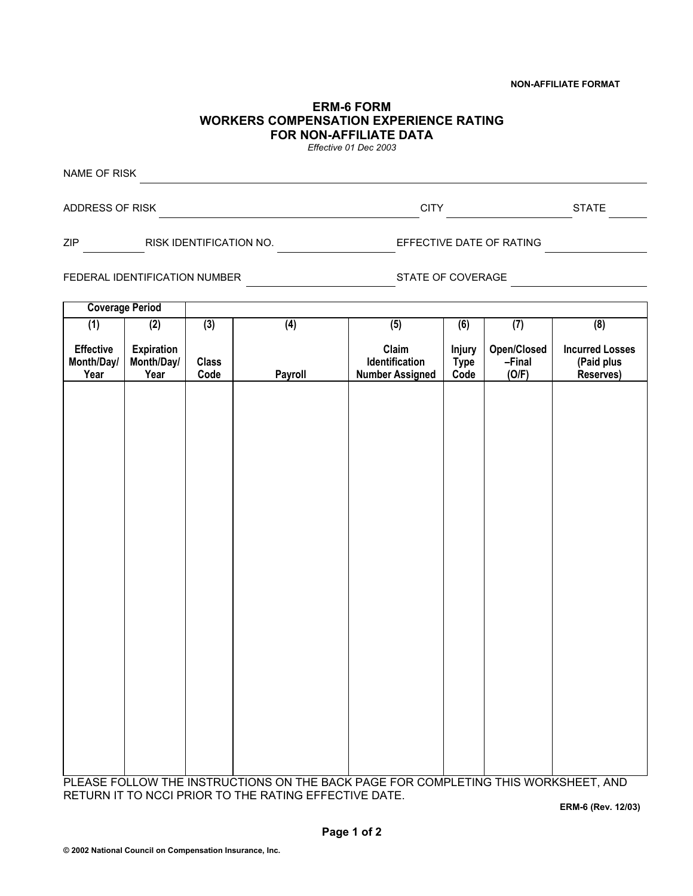## **NON-AFFILIATE FORMAT**

## **ERM-6 FORM WORKERS COMPENSATION EXPERIENCE RATING FOR NON-AFFILIATE DATA**

*Effective 01 Dec 2003*

NAME OF RISK ADDRESS OF RISK GENERAL BURGERY CONTROLLER STATE STATE STATE ZIP RISK IDENTIFICATION NO. EFFECTIVE DATE OF RATING

FEDERAL IDENTIFICATION NUMBER STATE OF COVERAGE

**Coverage Period (1) Effective Month/Day/ Year (2) Expiration Month/Day/ Year**   $\overline{(3)}$ **Class Code (4) Payroll (5) Claim Identification Number Assigned (6) Injury Type Code**   $(7)$ **Open/Closed –Final (O/F) (8) Incurred Losses (Paid plus Reserves)** 

PLEASE FOLLOW THE INSTRUCTIONS ON THE BACK PAGE FOR COMPLETING THIS WORKSHEET, AND RETURN IT TO NCCI PRIOR TO THE RATING EFFECTIVE DATE.